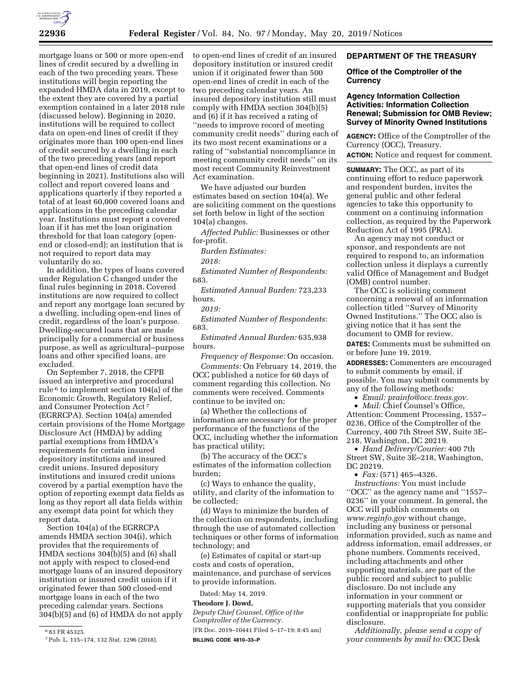

mortgage loans or 500 or more open-end lines of credit secured by a dwelling in each of the two preceding years. These institutions will begin reporting the expanded HMDA data in 2019, except to the extent they are covered by a partial exemption contained in a later 2018 rule (discussed below). Beginning in 2020, institutions will be required to collect data on open-end lines of credit if they originates more than 100 open-end lines of credit secured by a dwelling in each of the two preceding years (and report that open-end lines of credit data beginning in 2021). Institutions also will collect and report covered loans and applications quarterly if they reported a total of at least 60,000 covered loans and applications in the preceding calendar year. Institutions must report a covered loan if it has met the loan origination threshold for that loan category (openend or closed-end); an institution that is not required to report data may voluntarily do so.

In addition, the types of loans covered under Regulation C changed under the final rules beginning in 2018. Covered institutions are now required to collect and report any mortgage loan secured by a dwelling, including open-end lines of credit, regardless of the loan's purpose. Dwelling-secured loans that are made principally for a commercial or business purpose, as well as agricultural–purpose loans and other specified loans, are excluded.

On September 7, 2018, the CFPB issued an interpretive and procedural rule  $6$  to implement section 104(a) of the Economic Growth, Regulatory Relief, and Consumer Protection Act 7 (EGRRCPA). Section 104(a) amended certain provisions of the Home Mortgage Disclosure Act (HMDA) by adding partial exemptions from HMDA's requirements for certain insured depository institutions and insured credit unions. Insured depository institutions and insured credit unions covered by a partial exemption have the option of reporting exempt data fields as long as they report all data fields within any exempt data point for which they report data.

Section 104(a) of the EGRRCPA amends HMDA section 304(i), which provides that the requirements of HMDA sections 304(b)(5) and (6) shall not apply with respect to closed-end mortgage loans of an insured depository institution or insured credit union if it originated fewer than 500 closed-end mortgage loans in each of the two preceding calendar years. Sections 304(b)(5) and (6) of HMDA do not apply

to open-end lines of credit of an insured depository institution or insured credit union if it originated fewer than 500 open-end lines of credit in each of the two preceding calendar years. An insured depository institution still must comply with HMDA section 304(b)(5) and (6) if it has received a rating of ''needs to improve record of meeting community credit needs'' during each of its two most recent examinations or a rating of ''substantial noncompliance in meeting community credit needs'' on its most recent Community Reinvestment Act examination.

We have adjusted our burden estimates based on section 104(a). We are soliciting comment on the questions set forth below in light of the section 104(a) changes.

*Affected Public:* Businesses or other for-profit.

*Burden Estimates:* 

*2018:* 

*Estimated Number of Respondents:*  683.

*Estimated Annual Burden:* 723,233 hours.

# *2019:*

*Estimated Number of Respondents:*  683.

*Estimated Annual Burden:* 635,938 hours.

*Frequency of Response:* On occasion.

*Comments:* On February 14, 2019, the OCC published a notice for 60 days of comment regarding this collection. No comments were received. Comments continue to be invited on:

(a) Whether the collections of information are necessary for the proper performance of the functions of the OCC, including whether the information has practical utility;

(b) The accuracy of the OCC's estimates of the information collection burden;

(c) Ways to enhance the quality, utility, and clarity of the information to be collected;

(d) Ways to minimize the burden of the collection on respondents, including through the use of automated collection techniques or other forms of information technology; and

(e) Estimates of capital or start-up costs and costs of operation, maintenance, and purchase of services to provide information.

Dated: May 14, 2019.

## **Theodore J. Dowd,**

*Deputy Chief Counsel, Office of the Comptroller of the Currency.*  [FR Doc. 2019–10441 Filed 5–17–19; 8:45 am] **BILLING CODE 4810–33–P** 

### **DEPARTMENT OF THE TREASURY**

#### **Office of the Comptroller of the Currency**

## **Agency Information Collection Activities: Information Collection Renewal; Submission for OMB Review; Survey of Minority Owned Institutions**

**AGENCY:** Office of the Comptroller of the Currency (OCC), Treasury.

**ACTION:** Notice and request for comment.

**SUMMARY:** The OCC, as part of its continuing effort to reduce paperwork and respondent burden, invites the general public and other federal agencies to take this opportunity to comment on a continuing information collection, as required by the Paperwork Reduction Act of 1995 (PRA).

An agency may not conduct or sponsor, and respondents are not required to respond to, an information collection unless it displays a currently valid Office of Management and Budget (OMB) control number.

The OCC is soliciting comment concerning a renewal of an information collection titled ''Survey of Minority Owned Institutions.'' The OCC also is giving notice that it has sent the document to OMB for review. **DATES:** Comments must be submitted on or before June 19, 2019.

**ADDRESSES:** Commenters are encouraged to submit comments by email, if possible. You may submit comments by any of the following methods:

• *Email: [prainfo@occ.treas.gov.](mailto:prainfo@occ.treas.gov)* 

• *Mail: Chief Counsel's Office,* Attention: Comment Processing, 1557– 0236, Office of the Comptroller of the Currency, 400 7th Street SW, Suite 3E– 218, Washington, DC 20219.

• *Hand Delivery/Courier:* 400 7th Street SW, Suite 3E–218, Washington, DC 20219.

• *Fax:* (571) 465–4326.

*Instructions:* You must include ''OCC'' as the agency name and ''1557– 0236'' in your comment. In general, the OCC will publish comments on *[www.reginfo.gov](http://www.reginfo.gov)* without change, including any business or personal information provided, such as name and address information, email addresses, or phone numbers. Comments received, including attachments and other supporting materials, are part of the public record and subject to public disclosure. Do not include any information in your comment or supporting materials that you consider confidential or inappropriate for public disclosure.

*Additionally, please send a copy of your comments by mail to:* OCC Desk

<sup>6</sup> 83 FR 45325.

<sup>7</sup>Pub. L. 115–174, 132 Stat. 1296 (2018).